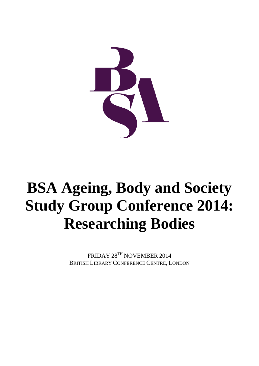

# **BSA Ageing, Body and Society Study Group Conference 2014: Researching Bodies**

FRIDAY 28TH NOVEMBER 2014 BRITISH LIBRARY CONFERENCE CENTRE, LONDON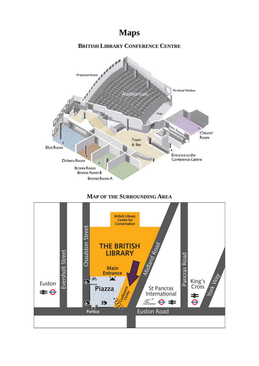**Maps**



# **MAP OF THE SURROUNDING AREA**

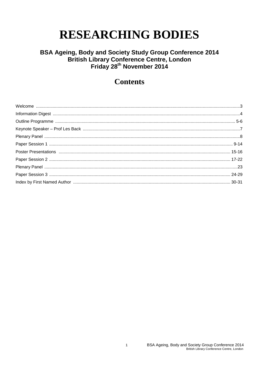# **RESEARCHING BODIES**

# BSA Ageing, Body and Society Study Group Conference 2014<br>British Library Conference Centre, London<br>Friday 28<sup>th</sup> November 2014

# **Contents**

 $\mathbf{1}$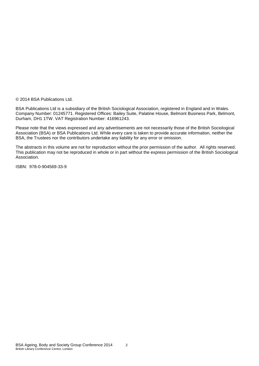© 2014 BSA Publications Ltd.

BSA Publications Ltd is a subsidiary of the British Sociological Association, registered in England and in Wales. Company Number: 01245771. Registered Offices: Bailey Suite, Palatine House, Belmont Business Park, Belmont, Durham, DH1 1TW. VAT Registration Number: 416961243.

Please note that the views expressed and any advertisements are not necessarily those of the British Sociological Association (BSA) or BSA Publications Ltd. While every care is taken to provide accurate information, neither the BSA, the Trustees nor the contributors undertake any liability for any error or omission.

The abstracts in this volume are not for reproduction without the prior permission of the author. All rights reserved. This publication may not be reproduced in whole or in part without the express permission of the British Sociological Association.

ISBN: 978-0-904569-33-9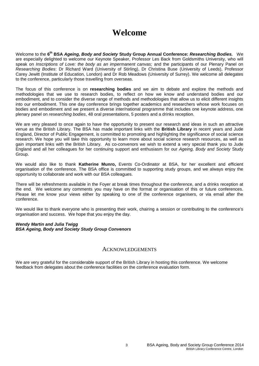# **Welcome**

Welcome to the **6th BSA** *Ageing, Body and Society* **Study Group Annual Conference:** *Researching Bodies.*We are especially delighted to welcome our Keynote Speaker, Professor Les Back from Goldsmiths University, who will speak on *Inscriptions of Love: the body as an impermanent canvas;* and the participants of our Plenary Panel on *Researching Bodies*: Dr Richard Ward (University of Stirling), Dr Christina Buse (University of Leeds), Professor Carey Jewitt (Institute of Education, London) and Dr Rob Meadows (University of Surrey). We welcome all delegates to the conference, particularly those travelling from overseas.

The focus of this conference is on **researching bodies** and we aim to debate and explore the methods and methodologies that we use to research bodies, to reflect on how we know and understand bodies and our embodiment, and to consider the diverse range of methods and methodologies that allow us to elicit different insights into our embodiment. This one day conference brings together academics and researchers whose work focuses on bodies and embodiment and we present a diverse inter/national programme that includes one keynote address, one plenary panel on *researching bodies*, 48 oral presentations, 5 posters and a drinks reception.

We are very pleased to once again to have the opportunity to present our research and ideas in such an attractive venue as the British Library. The BSA has made important links with the **British Library** in recent years and Jude England, Director of Public Engagement, is committed to promoting and highlighting the significance of social science research. We hope you will take this opportunity to learn more about social science research resources, as well as gain important links with the British Library. As co-convenors we wish to extend a very special thank you to Jude England and all her colleagues for her continuing support and enthusiasm for our *Ageing, Body and Society* Study Group.

We would also like to thank **Katherine Munro,** Events Co-Ordinator at BSA, for her excellent and efficient organisation of the conference. The BSA office is committed to supporting study groups, and we always enjoy the opportunity to collaborate and work with our BSA colleagues.

There will be refreshments available in the Foyer at break times throughout the conference, and a drinks reception at the end. We welcome any comments you may have on the format or organisation of this or future conferences. Please let me know your views either by speaking to one of the conference organisers, or via email after the conference.

We would like to thank everyone who is presenting their work, chairing a session or contributing to the conference's organisation and success. We hope that you enjoy the day.

#### *Wendy Martin and Julia Twigg BSA Ageing, Body and Society Study Group Convenors*

# **ACKNOWLEDGEMENTS**

We are very grateful for the considerable support of the British Library in hosting this conference. We welcome feedback from delegates about the conference facilities on the conference evaluation form.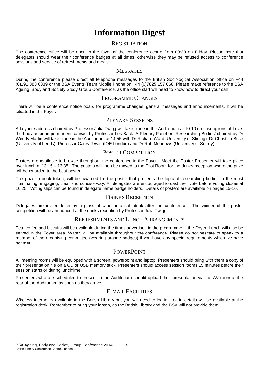# **Information Digest**

# **REGISTRATION**

The conference office will be open in the foyer of the conference centre from 09:30 on Friday. Please note that delegates should wear their conference badges at all times, otherwise they may be refused access to conference sessions and service of refreshments and meals.

# **MESSAGES**

During the conference please direct all telephone messages to the British Sociological Association office on +44 (0)191 383 0839 or the BSA Events Team Mobile Phone on +44 (0)7825 157 068. Please make reference to the BSA Ageing, Body and Society Study Group Conference, as the office staff will need to know how to direct your call.

# PROGRAMME CHANGES

There will be a conference notice board for programme changes, general messages and announcements. It will be situated in the Foyer.

# PLENARY SESSIONS

A keynote address chaired by Professor Julia Twigg will take place in the Auditorium at 10:10 on 'Inscriptions of Love: the body as an impermanent canvas' by Professor Les Back. A Plenary Panel on 'Researching Bodies' chaired by Dr Wendy Martin will take place in the Auditorium at 14:55 with Dr Richard Ward (University of Stirling), Dr Christina Buse (University of Leeds), Professor Carey Jewitt (IOE London) and Dr Rob Meadows (University of Surrey).

# POSTER COMPETITION

Posters are available to browse throughout the conference in the Foyer. Meet the Poster Presenter will take place over lunch at 13:15 – 13:35. The posters will then be moved to the Eliot Room for the drinks reception where the prize will be awarded to the best poster.

The prize, a book token, will be awarded for the poster that presents the topic of researching bodies in the most illuminating, engaging, clear and concise way. All delegates are encouraged to cast their vote before voting closes at 16:25. Voting slips can be found in delegate name badge holders. Details of posters are available on pages 15-16.

### DRINKS RECEPTION

Delegates are invited to enjoy a glass of wine or a soft drink after the conference. The winner of the poster competition will be announced at the drinks reception by Professor Julia Twigg.

### REFRESHMENTS AND LUNCH ARRANGEMENTS

Tea, coffee and biscuits will be available during the times advertised in the programme in the Foyer. Lunch will also be served in the Fover area. Water will be available throughout the conference. Please do not hesitate to speak to a member of the organising committee (wearing orange badges) if you have any special requirements which we have not met.

# **POWERPOINT**

All meeting rooms will be equipped with a screen, powerpoint and laptop. Presenters should bring with them a copy of their presentation file on a CD or USB memory stick. Presenters should access session rooms 15 minutes before their session starts or during lunchtime.

Presenters who are scheduled to present in the Auditorium should upload their presentation via the AV room at the rear of the Auditorium as soon as they arrive.

# E-MAIL FACILITIES

Wireless internet is available in the British Library but you will need to log-in. Log-in details will be available at the registration desk. Remember to bring your laptop, as the British Library and the BSA will not provide them.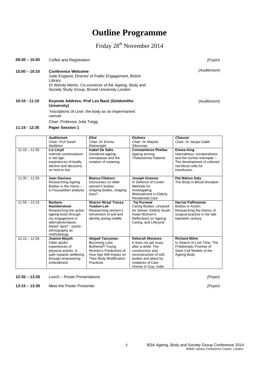# 5 BSA Ageing, Body and Society Group Conference 2014 British Library Conference Centre, London

*(Foyer)*

*(Foyer)*

# **Outline Programme**

# Friday 28<sup>th</sup> November 2014

| $10.00 - 10:10$ | <b>Conference Welcome</b><br>Library                             | Jude England, Director of Public Engagement, British<br>Dr Wendy Martin, Co-convenor of the Ageing, Body and<br>Society Study Group, Brunel University London |                                                         |                 |  |  |
|-----------------|------------------------------------------------------------------|---------------------------------------------------------------------------------------------------------------------------------------------------------------|---------------------------------------------------------|-----------------|--|--|
| $10:10 - 11:10$ | <b>Keynote Address: Prof Les Back (Goldsmiths</b><br>University) |                                                                                                                                                               |                                                         |                 |  |  |
|                 | 'Inscriptions of Love: the body as an impermanent<br>canvas'     |                                                                                                                                                               |                                                         |                 |  |  |
|                 | Chair: Professor Julia Twigg                                     |                                                                                                                                                               |                                                         |                 |  |  |
| $11:15 - 12:35$ | <b>Paper Session 1</b>                                           |                                                                                                                                                               |                                                         |                 |  |  |
|                 | <b>Auditorium</b><br>Chair: Prof Sarah<br>$N$ attlatan           | <b>Eliot</b><br>Chair: Dr Emma<br>$14/6$ inuriaht                                                                                                             | <b>Dickens</b><br>Chair: Dr Marjoie<br><b>Cihiarman</b> | Chauc<br>Chair: |  |  |

|                 | <b>Auditorium</b><br>Chair: Prof Sarah<br>Nettleton                                                                                                                                         | <b>Eliot</b><br>Chair: Dr Emma<br>Wainwright                                                                                                            | <b>Dickens</b><br>Chair: Dr Marjoie<br>Silverman                                                                                                                                        | <b>Chaucer</b><br>Chair: Dr Jacqui Gabb                                                                                                         |
|-----------------|---------------------------------------------------------------------------------------------------------------------------------------------------------------------------------------------|---------------------------------------------------------------------------------------------------------------------------------------------------------|-----------------------------------------------------------------------------------------------------------------------------------------------------------------------------------------|-------------------------------------------------------------------------------------------------------------------------------------------------|
| $11:15 - 11:35$ | Liz Lloyd<br>Internal conversations<br>in old age:<br>experiences of bodily<br>decline and decisions<br>on how to live                                                                      | <b>Isabel De Salis</b><br>Gendered ageing:<br>menopause and the<br>creation of meaning                                                                  | <b>Constantinos Phellas</b><br>Ageing among<br><b>Thalassemia Patients</b>                                                                                                              | <b>Emma King</b><br>Naturalness, unnaturalness<br>and the human exemplar -<br>The development of cultured<br>red blood cells for<br>transfusion |
| $11:35 - 11:55$ | Jean Davison<br>Researching Ageing<br>Bodies in the Home -<br>a Foucauldian analysis                                                                                                        | <b>Bianca Fileborn</b><br>Discourses on older<br>women's bodies:<br>shaping bodies, shaping<br>lives?                                                   | <b>Joseph Greener</b><br>In Defence of Covert<br>Methods for<br>Investigating<br>Mistreatment in Elderly<br><b>Residential Care</b>                                                     | Pat Mahon Daly<br>The Body in Blood Donation                                                                                                    |
| $11:55 - 12:15$ | <b>Barbara</b><br><b>Humberstone</b><br>Researching the active<br>ageing body through<br>my engagement in<br>alternative/nature-<br>based 'sport': (auto)-<br>ethnography as<br>methodology | <b>Sharon Wray/ Tracey</b><br>Yeadon-Lee<br>Researching women's<br>reinvention of self and<br>identity during midlife                                   | <b>Tej Purewal</b><br>Caring Bodies, Uncared-<br>for Selves: Elderly South<br>Asian Women's<br>Reflections on Ageing,<br>Caring, and Lifecycle                                          | <b>Harriet Palfreyman</b><br>Bodies in Action:<br>Researching the history of<br>surgical practice in the late<br>twentieth century              |
| $12:15 - 12:35$ | Joanne Mayoh<br>Older adults'<br>experiences of<br>physical activity: A<br>path towards wellbeing<br>through empowering<br>embodiment                                                       | Abigail Tazzyman<br><b>Becoming Less</b><br>Bothered? Young<br>Women's Predictions of<br>How Age Will Impact on<br>Their Body Modification<br>Practices | <b>Deborah Menezes</b><br>It does not get scary<br>after a while: The<br>construction and<br>reconstruction of self.<br>bodies and place by<br>residents of Care<br>Homes in Goa, India | <b>Richard Milne</b><br>In Search of Lost Time: The<br>Problematic Promise of<br>Stem Cell Models of the<br>Ageing Body                         |

**12:35 – 13:35** Lunch – Poster Presentations

**13:15 – 13:35** Meet the Poster Presenter

**09:30 – 10.00** Coffee and Registration *(Foyer)*

*(Auditorium)*

*(Auditorium)*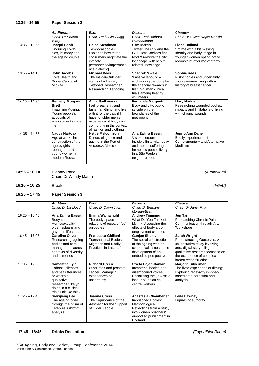#### **13:35 - 14:55 Paper Session 2**

|                 | <b>Auditorium</b>      | <b>Eliot</b>                 | <b>Dickens</b>              | <b>Chaucer</b>                       |
|-----------------|------------------------|------------------------------|-----------------------------|--------------------------------------|
|                 | Chair: Dr Sharon       | Chair: Prof Julia Twigg      | Chair: Prof Barbara         | Chair: Dr Sweta Rajan-Rankin         |
|                 | Wray                   |                              | Humberstone                 |                                      |
| $13:35 - 13:55$ | Jacqui Gabb            | <b>Chloe Steadman</b>        | <b>Sam Martin</b>           | <b>Fiona Holland</b>                 |
|                 | <b>Enduring Love?</b>  | Temporal bodies:             | Twitter, the City and the   | 'I'm me with a bit missing':         |
|                 | Sex, intimacy and      | Exploring how tattoo         | Gut: How Coeliacs find      | Identity and body image in           |
|                 | the ageing couple      | consumers negotiate the      | food & re-write the city    | younger women opting not to          |
|                 |                        | intricate                    | landscape with health-      | reconstruct after mastectomy.        |
|                 |                        | permanence/impermane         | related knowledge           |                                      |
|                 |                        | nce dialecticl               |                             |                                      |
| $13:55 - 14:15$ | John Jacobs            | <b>Michael Rees</b>          | <b>Shadrek Mwale</b>        | <b>Sophie Rees</b>                   |
|                 | Love Health and        | The Insider/Outsider         | 'Passive labour?' -         | Risky bodies and uncertainty:        |
|                 | Social Capital at      | status of a Heavily          | exchanging the body for     | young women living with a            |
|                 | Mid-life               | <b>Tattooed Researcher</b>   | the financial rewards in    | history of breast cancer             |
|                 |                        | <b>Researching Tattooing</b> | first in-human clinical     |                                      |
|                 |                        |                              | trials among healthy        |                                      |
|                 |                        |                              | volunteers.                 |                                      |
| $14:15 - 14:35$ | <b>Bethany Morgan-</b> | Anna Sadkowska               | <b>Fernanda Marquetti</b>   | <b>Mary Madden</b>                   |
|                 | <b>Brett</b>           | I will breathe in, and       | Body and city: public       | Researching wounded bodies:          |
|                 | Imagining Ageing:      | fasten anything, and live    | suicide on the              | impacts and limitations of living    |
|                 | Young people's         | with it for the day, if I    | boundaries of the           | with chronic wounds                  |
|                 | accounts of            | have to: older men's         | metropolis                  |                                      |
|                 | embodiment in later    | experience of body dis-      |                             |                                      |
|                 | life                   | comforting in the context    |                             |                                      |
|                 |                        | of fashion and clothing      |                             |                                      |
| $14-35 - 14:55$ | Nadya Nartova          | <b>Hettie Malcomson</b>      | Ana Zahira Bassit           | Jenny-Ann Danell                     |
|                 | Age at work: the       | Dance, elegance and          | Visible persons and         | Bodily experiences of                |
|                 | construction of the    | ageing in the Port of        | invisible links: city, body | <b>Complementary and Alternative</b> |
|                 | age by girls-          | Veracruz, Mexico             | and mental suffering of     | Medicine                             |
|                 | teenagers and          |                              | homeless people living      |                                      |
|                 | young women in         |                              | in a São Paulo's            |                                      |
|                 | modern Russia          |                              | neighbourhood               |                                      |
|                 |                        |                              |                             |                                      |

| 14:55 – 16:10 | <b>Plenary Panel</b>          |  |  |
|---------------|-------------------------------|--|--|
|               | <b>Chair: Dr Wendy Martin</b> |  |  |

*(Auditorium)*

**16:10 – 16:25** Break *(Foyer)*

#### **16:25 – 17:45 Paper Session 3**

|                 | <b>Auditorium</b><br>Chair: Dr Liz Lloyd                                                                                                                       | Eliot<br>Chair: Dr Dawn Lyon                                                                                 | <b>Dickens</b><br>Chair: Dr Bethany<br>Morgan-Brett                                                                                                    | <b>Chaucer</b><br>Chair: Dr Janet Fink                                                                                                                                                                   |
|-----------------|----------------------------------------------------------------------------------------------------------------------------------------------------------------|--------------------------------------------------------------------------------------------------------------|--------------------------------------------------------------------------------------------------------------------------------------------------------|----------------------------------------------------------------------------------------------------------------------------------------------------------------------------------------------------------|
| $16:25 - 16:45$ | Ana Zahira Bassit<br>Body and<br>Homosexuality:<br>older lesbians and<br>gay men life paths                                                                    | <b>Emma Wainwright</b><br>The body-space<br>relations of research(ed)<br>on bodies                           | <b>Andrew Timming</b><br>What Do You Think of<br>My Ink: Assessing the<br>effects of body art on<br>employment chances                                 | Jen Tarr<br>Researching Chronic Pain<br>Communication through Arts<br>Workshops                                                                                                                          |
| $16:45 - 17:05$ | <b>Caroline Oliver</b><br>Researching ageing<br>bodies and care<br>management across<br>contexts of diversity<br>and sameness                                  | <b>Francesca Ghillani</b><br><b>Transnational Bodies:</b><br>Migration and Bodily<br>Practices in Later Life | <b>Gunjan Shukla</b><br>The social construction<br>of the ageing worker:<br>conceptual issues in the<br>development of an<br>embodied perspective      | Sarah Wright<br>Reconstructing Ourselves: A<br>collaborative study involving<br>arts, digital storytelling and<br>qualitative research focussed on<br>the experience of complex<br>breast reconstruction |
| $17:05 - 17:25$ | Samantha Lyle<br>Taboos, silences<br>and half utterances<br>or what's a<br>qualitative<br>researcher like you<br>doing in a clinical<br>trials unit like this? | <b>Richard Green</b><br>Older men and prostate<br>cancer: Managing<br>experiences of<br>uncertainty          | Sweta Rajan-Rankin<br>Immaterial bodies and<br>disembodied voices:<br>Racializing the (in) visible<br>labour of Indian call<br>centre workers          | <b>Marjorie Silverman</b><br>The lived experience of filming:<br>Exploring reflexivity in video-<br>based data collection and<br>analysis                                                                |
| $17:25 - 17:45$ | <b>Siewpeng Lee</b><br>The ageing body<br>through the prism of<br>Lefebvre's rhythm<br>analysis                                                                | Joanna Cross<br>The Significance of the<br>Aesthetic for the Support<br>of Older People                      | Anastasia Chamberlen<br>Imprisoned Bodies:<br>Methodological<br>Reflections from a study<br>into women prisoners'<br>embodied punishment in<br>England | Leila Dawney<br>Figures of authority                                                                                                                                                                     |

#### **17:45 - 18:45 Drinks Reception** *(Foyer/Eliot Room)*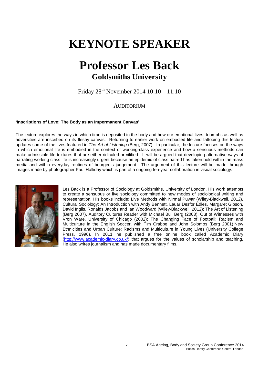# **KEYNOTE SPEAKER**

# **Professor Les Back Goldsmiths University**

Friday  $28^{th}$  November 2014  $10:10 - 11:10$ 

# AUDITORIUM

### **'Inscriptions of Love: The Body as an Impermanent Canvas'**

The lecture explores the ways in which time is deposited in the body and how our emotional lives, triumphs as well as adversities are inscribed on its fleshy canvas. Returning to earlier work on embodied life and tattooing this lecture updates some of the lives featured in *The Art of Listening* (Berg, 2007). In particular, the lecture focuses on the ways in which emotional life is embodied in the context of working-class experience and how a sensuous methods can make admissible life textures that are either ridiculed or vilified. It will be argued that developing alternative ways of narrating working class life is increasingly urgent because an epidemic of class hatred has taken hold within the mass media and within everyday routines of bourgeois judgement. The argument of this lecture will be made through images made by photographer Paul Halliday which is part of a ongoing ten-year collaboration in visual sociology.



Les Back is a Professor of Sociology at Goldsmiths, University of London. His work attempts to create a sensuous or live sociology committed to new modes of sociological writing and representation. His books include: Live Methods with Nirmal Puwar (Wiley-Blackwell, 2012), Cultural Sociology: An Introduction with Andy Bennett, Lauar Desfor Edles, Margaret Gibson, David Inglis, Ronalds Jacobs and Ian Woodward (Wiley-Blackwell, 2012); The Art of Listening (Berg 2007), Auditory Cultures Reader with Michael Bull Berg (2003), Out of Witnesses with Vron Ware, University of Chicago (2002); The Changing Face of Football: Racism and Multiculture in the English Soccer, with Tim Crabbe and John Solomos (Berg 2001);New Ethnicities and Urban Culture: Racisms and Multiculture in Young Lives (University College Press, 1996). In 2011 he published a free online book called Academic Diary [\(http://www.academic-diary.co.uk/\)](http://www.academic-diary.co.uk/) that argues for the values of scholarship and teaching. He also writes journalism and has made documentary films.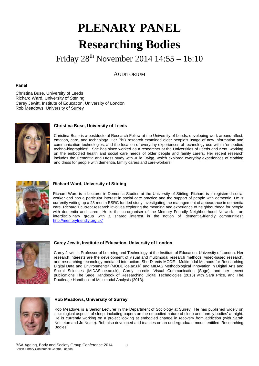# **PLENARY PANEL Researching Bodies**

Friday 28th November 2014 14:55 – 16:10

**AUDITORIUM** 

#### **Panel**

Christina Buse, University of Leeds Richard Ward, University of Sterling Carey Jewitt, Institute of Education, University of London Rob Meadows, University of Surrey



#### **Christina Buse, University of Leeds**

Christina Buse is a postdoctoral Research Fellow at the University of Leeds, developing work around affect, emotion, care, and technology. Her PhD research examined older people's usage of new information and communication technologies, and the location of everyday experiences of technology use within 'embodied techno-biographies'. She has since worked as a researcher at the Universities of Leeds and Kent, working on the embodied health and social care needs of older people and family carers. Her recent research includes the Dementia and Dress study with Julia Twigg, which explored everyday experiences of clothing and dress for people with dementia, family carers and care-workers.



#### **Richard Ward, University of Stirling**

Richard Ward is a Lecturer in Dementia Studies at the University of Stirling. Richard is a registered social worker and has a particular interest in social care practice and the support of people with dementia. He is currently writing up a 28-month ESRC-funded study investigating the management of appearance in dementia care. Richard's current research involves exploring the meaning and experience of neighbourhood for people with dementia and carers. He is the co-organiser of the Memory Friendly Neighbourhood Network – an interdisciplinary group with a shared interest in the notion of 'dementia-friendly communities': <http://memoryfriendly.org.uk/>



#### **Carey Jewitt, Institute of Education, University of London**

Carey Jewitt is Professor of Learning and Technology at the Institute of Education, University of London. Her research interests are the development of visual and multimodal research methods, video-based research, and researching technology-mediated interaction. She Directs MODE - Multimodal Methods for Researching Digital Data and Environments<sup>1</sup> (MODE.ioe.ac.uk) and MIDAS Methodological Innovation in Digital Arts and Social Sciences (MIDAS.ioe.ac.uk). Carey co-edits Visual Communication (Sage), and her recent publications The Sage Handbook of Researching Digital Technologies (2013) with Sara Price, and The Routledge Handbook of Multimodal Analysis (2013).



#### **Rob Meadows, University of Surrey**

Rob Meadows is a Senior Lecturer in the Department of Sociology at Surrey. He has published widely on sociological aspects of sleep, including papers on the embodied nature of sleep and 'unruly bodies' at night. He is currently working on a project looking at embodied change in recovery from addiction (with Sarah Nettleton and Jo Neale). Rob also developed and teaches on an undergraduate model entitled 'Researching Bodies'.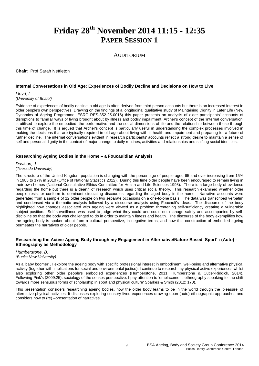# **Friday 28th November 2014 11:15 - 12:35 PAPER SESSION 1**

### AUDITORIUM

**Chair**: Prof Sarah Nettleton

#### **Internal Conversations in Old Age: Experiences of Bodily Decline and Decisions on How to Live**

*Lloyd, L. (University of Bristol)*

Evidence of experiences of bodily decline in old age is often derived from third person accounts but there is an increased interest in older people's own perspectives. Drawing on the findings of a longitudinal qualitative study of Maintaining Dignity in Later Life (New Dynamics of Ageing Programme, ESRC RES-352-25-0016) this paper presents an analysis of older participants' accounts of disruptions to familiar ways of living brought about by illness and bodily impairment. Archer's concept of the 'internal conversation' is utilised to explore the embodied, the performative and the social dimensions of life and the relationship between these through this time of change. It is argued that Archer's concept is particularly useful in understanding the complex processes involved in making the decisions that are typically required in old age about living with ill health and impairment and preparing for a future of further decline. The internal conversations evident in research participants' accounts reflect a strong desire to maintain a sense of self and personal dignity in the context of major change to daily routines, activities and relationships and shifting social identities.

#### **Researching Ageing Bodies in the Home – a Foucauldian Analysis**

*Davison, J. (Teesside University)*

The structure of the United Kingdom population is changing with the percentage of people aged 65 and over increasing from 15% in 1985 to 17% in 2010 (Office of National Statistics 2012). During this time older people have been encouraged to remain living in their own homes (National Consultative Ethics Committee for Health and Life Sciences 1998). There is a large body of evidence regarding the home but there is a dearth of research which uses critical social theory. This research examined whether older people resist or conform to dominant circulating discourses regarding the aged body in the home. Narrative accounts were generated from a sample of 12 older people on two separate occasions on a one-to-one basis. The data was transcribed verbatim and condensed via a thematic analysis followed by a discourse analysis using Foucault's ideas. The discourse of the body highlighted how changes associated with ageing were viewed as a problem threatening self-sufficiency creating a vulnerable subject position. Self-surveillance was used to judge what they could and could not manage safely and accompanied by selfdiscipline so that the body was challenged to do in order to maintain fitness and health. The discourse of the body exemplifies how the ageing body is spoken about from a cultural perspective, in negative terms, and how this construction of embodied ageing permeates the narratives of older people.

#### **Researching the Active Ageing Body through my Engagement in Alternative/Nature-Based 'Sport' : (Auto) - Ethnography as Methodology**

#### *Humberstone, B. (Bucks New University)*

As a 'baby boomer' , I explore the ageing body with specific professional interest in embodiment, well-being and alternative physical activity (together with implications for social and environmental justice), I continue to research my physical active experiences whilst also exploring other older people's embodied experiences (Humberstone, 2011; Humberstone & Cutler-Riddick, 2014). Following Pink's (2009:25), sociology of the senses perspective, I pay attention to 'emplacement' ethnography speaking to' the shift towards more sensuous forms of scholarship in sport and physical culture' Sparkes & Smith (2012: 170).

This presentation considers researching ageing bodies, how the older body learns to be in the world through the 'pleasure' of alternative physical activities. It discusses exploring sensory lived experiences drawing upon (auto)-ethnographic approaches and considers how to (re) –presentation of narratives.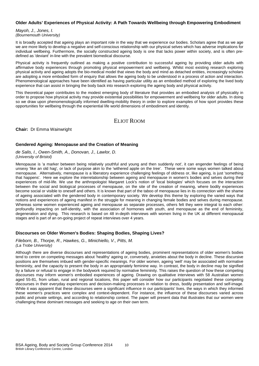#### **Older Adults' Experiences of Physical Activity: A Path Towards Wellbeing through Empowering Embodiment**

*Mayoh, J., Jones, I. (Bournemouth University)*

It is broadly accepted that ageing plays an important role in the way that we experience our bodies. Scholars agree that as we age we are more likely to develop a negative and self-conscious relationship with our physical selves which has adverse implications for individual wellbeing. Furthermore, the socially constructed ageing body is one that lacks power within society, and is often predefined as 'deviant' in-line with the prevalent biomedical discourse.

Physical activity is frequently outlined as making a positive contribution to successful ageing by providing older adults with affirmative body experiences through promoting physical empowerment and wellbeing. Whilst most existing research exploring physical activity and ageing adopts the bio-medical model that views the body and mind as detached entities, increasingly scholars are adopting a more embodied form of enquiry that allows the ageing body to be understood in a process of action and interaction. Phenomenological approaches have been identified as having particular utility as an embodied method of exploring the lived body experience that can assist in bringing the body back into research exploring the ageing body and physical activity.

This theoretical paper contributes to the modest emerging body of literature that provides an embodied analysis of physicality in order to propose how physical activity may provide existential possibilities for empowerment and wellbeing for older adults. In doing so we draw upon phenomenologically informed dwelling-mobility theory in order to explore examples of how sport provides these opportunities for wellbeing through the experiential life world dimensions of embodiment and identity.

# ELIOT ROOM

**Chair:** Dr Emma Wainwright

#### **Gendered Ageing: Menopause and the Creation of Meaning**

*de Salis, I., Owen-Smith, A., Donovan, J., Lawlor, D. (University of Bristol)*

Menopause is 'a marker between being relatively youthful and young and then suddenly not', it can engender feelings of being unsexy 'like an old hag', or lack of purpose akin to the 'withered apple on the tree'. These were some ways women talked about menopause. Alternatively, menopause is a liberatory experience challenging feelings of oldness or, like ageing, is just 'something that happens'. Here we explore the interrelationship between ageing and menopause in women's bodies and selves during their experiences of mid-life. We use the anthropologist Margaret Lock's notion of 'local biologies' which focuses on the interaction between the social and biological processes of menopause, on the site of the creation of meaning, where bodily experiences become social or visible to oneself and others. It is known that part of the taboo of menopause lies in its connection with the shame of ageing associated with the gendered body in contemporary society. We develop this theme by exploring the varied ways that notions and experiences of ageing manifest in the struggle for meaning in changing female bodies and selves during menopause. Whereas some women experienced ageing and menopause as separate processes, others felt they were integral to each other: profoundly impacting on self-identity, with the association of hormones with youth, and menopause as the end of femininity, degeneration and dying. This research is based on 48 in-depth interviews with women living in the UK at different menopausal stages and is part of an on-going project of repeat interviews over 4 years.

### **Discourses on Older Women's Bodies: Shaping Bodies, Shaping Lives?**

*Fileborn, B., Thorpe, R., Hawkes, G., Minichiello, V., Pitts, M. (La Trobe University)*

Although there are diverse discourses and representations of ageing bodies, prominent representations of older women's bodies tend to centre on competing messages about 'healthy' ageing or, conversely, anxieties about the body in decline. These discursive positions are themselves imbued with gender-specific meanings. For older women, ageing 'well' may be associated with normative femininity, and the capacity to present the body in an appropriately feminine way. In contrast, the body in decline may be signified by a failure or refusal to engage in the bodywork required by normative femininity. This raises the question of how these competing discourses may inform women's embodied experiences of ageing. Drawing on qualitative interviews with 58 Australian women aged 55-81, from urban, rural and regional locations, this paper will consider how our participants negotiated these competing discourses in their everyday experiences and decision-making processes in relation to dress, bodily presentation and self-image. While it was apparent that these discourses were a significant influence in our participants' lives, the ways in which they informed these women's practices were complex and context-dependent. For instance, the influence of these discourses varied across public and private settings, and according to relationship context. The paper will present data that illustrates that our women were challenging these dominant messages and seeking to age on their own term.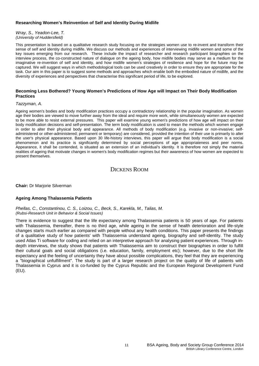#### **Researching Women's Reinvention of Self and Identity During Midlife**

*Wray, S., Yeadon-Lee, T. (University of Huddersfield)*

This presentation is based on a qualitative research study focusing on the strategies women use to re-invent and transform their sense of self and identity during midlife. We discuss our methods and experiences of interviewing midlife women and some of the key issues emerging from our research. These include the impact of researcher and research participant biographies on the interview process, the co-constructed nature of dialogue on the ageing body, how midlife bodies may serve as a medium for the imaginative re-invention of self and identity, and how midlife women's strategies of resilience and hope for the future may be captured. We will suggest ways in which methodological tools can be used creatively in order to ensure they are appropriate for the task. Our aim in this paper is to suggest some methods and approaches which enable both the embodied nature of midlife, and the diversity of experiences and perspectives that characterise this significant period of life, to be explored.

#### **Becoming Less Bothered? Young Women's Predictions of How Age will Impact on Their Body Modification Practices**

#### *Tazzyman, A.*

Ageing women's bodies and body modification practices occupy a contradictory relationship in the popular imagination. As women age their bodies are viewed to move further away from the ideal and require more work, while simultaneously women are expected to be more able to resist external pressures. This paper will examine young women's predictions of how age will impact on their body modification decisions and self-presentation. The term body modification is used to mean the methods which women engage in order to alter their physical body and appearance. All methods of body modification (e.g. invasive or non-invasive; selfadministered or other-administered; permanent or temporary) are considered, provided the intention of their use is primarily to alter the user's physical appearance. Based upon 30 life-history interviews, this paper will argue that body modification is a social phenomenon and its practice is significantly determined by social perceptions of age appropriateness and peer norms. Appearance, it shall be contended, is situated as an extension of an individual's identity. It is therefore not simply the material realities of ageing that motivate changes in women's body modification regimes but their awareness of how women are expected to present themselves.

# DICKENS ROOM

**Chair:** Dr Marjorie Silverman

### **Ageing Among Thalassemia Patients**

*Phellas, C., Constantinou, C. S., Loizou, C., Beck, S., Karekla, M., Talias, M. (Rubsi-Research Unit in Behavior & Social Issues)*

There is evidence to suggest that the life expectancy among Thalassemia patients is 50 years of age. For patients with Thalassemia, thereafter, there is no third age, while ageing in the sense of health deterioration and life-style changes starts much earlier as compared with people without any health conditions. This paper presents the findings of a qualitative study of how patients' with Thalassemia understand ageing, biography and self-identity. The study used Atlas Ti software for coding and relied on an interpretive approach for analysing patient experiences. Through indepth interviews, the study shows that patients with Thalassemia aim to construct their biographies in order to fulfill their cultural goals and social obligations (i.e. education, family, employment etc); however, due to the short life expectancy and the feeling of uncertainty they have about possible complications, they feel that they are experiencing a "biographical unfulfillment". The study is part of a larger research project on the quality of life of patients with Thalassemia in Cyprus and it is co-funded by the Cyprus Republic and the European Regional Development Fund (EU).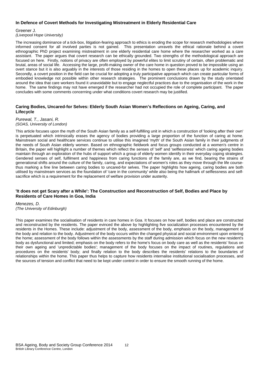#### **In Defence of Covert Methods for Investigating Mistreatment in Elderly Residential Care**

#### Greener J.

*(Liverpool Hope University)*

The increasing dominance of a tick-box, litigation-fearing approach to ethics is eroding the scope for research methodologies where informed consent for all involved parties is not gained. This presentation unravels the ethical rationale behind a covert ethnographic PhD project examining mistreatment in one elderly residential care home where the researcher worked as a care assistant. The paper argues that covert research can be ethically grounded. Two strengths of the methodological approach are focused on here. Firstly, notions of privacy are often employed by powerful elites to limit scrutiny of certain, often problematic and brutal, areas of social life. Accessing the large, profit-making owner of the care home in question proved to be impossible using an overt stance but it is also arguably in the interests of those residing in the homes to open these places up for academic inquiry. Secondly, a covert position in the field can be crucial for adopting a truly participative approach which can create particular forms of embodied knowledge not possible within other research strategies. The prominent conclusions drawn by the study orientated around the idea that care workers found it unavoidable but to engage neglectful practices due to the organisation of the work in the home. The same findings may not have emerged if the researcher had not occupied the role of complete participant. The paper concludes with some comments concerning under what conditions covert research may be justified.

#### **Caring Bodies, Uncared-for Selves: Elderly South Asian Women's Reflections on Ageing, Caring, and Lifecycle**

#### *Purewal, T., Jasani, R. (SOAS, University of London)*

This article focuses upon the myth of the South Asian family as a self-fulfilling unit in which a construction of 'looking after their own' is perpetuated which intrinsically erases the agency of bodies providing a large proportion of the function of caring at home. Mainstream social and healthcare services continue to utilise this imagined 'myth' of the South Asian family in their judgments of the needs of South Asian elderly women. Based on ethnographic fieldwork and focus groups conducted at a women's centre in Britain, the paper will highlight a number of themes which reflect the senses of 'self' and 'selflessness' which caring ageing bodies maintain through an exploration of the hubs of support which a group of elderly women identify in their everyday coping strategies. Gendered senses of self, fulfilment and happiness from caring functions of the family are, as we find, bearing the strains of generational shifts around the culture of the family, caring, and expectations of women's roles as they move through the life coursethus marking a fine line between caring bodies to uncared-for selves. The paper highlights how ageing, caring bodies are both utilised by mainstream services as the foundation of 'care in the community' while also being the hallmark of selflessness and selfsacrifice which is a requirement for the replacement of welfare provision under austerity.

#### **'It does not get Scary after a While': The Construction and Reconstruction of Self, Bodies and Place by Residents of Care Homes in Goa, India**

*Menezes, D. (The University of Edinburgh)* 

This paper examines the socialisation of residents in care homes in Goa. It focuses on how self, bodies and place are constructed and reconstructed by the residents. The paper evinced the above by highlighting five socialization processes encountered by the residents in the Homes. These include: adjustment of the body, assessment of the body, emphasis on the body, management of the body and relation to the body. Adjustment of the body occurs within the changed physical and social environment upon entering the home; assessment of the body follows within the assessments by the staff during admission which focus on the new resident's body as dysfunctional and limited; emphasis on the body refers to the home's focus on body care as well as the residents' focus on their own ageing and 'unpredictable bodies'; management of the body focuses on the impact of routines, regulations and procedures on the residents' body; and finally relation to the body describes the residents' relations to the boundaries of relationships within the home. This paper thus helps to capture how residents internalise institutional socialisation processes, and the sources of tension and conflict that need to be kept under control in order to ensure the smooth running of the home.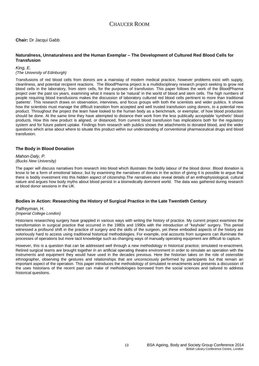**Chair:** Dr Jacqui Gabb

#### **Naturalness, Unnaturalness and the Human Exemplar – The Development of Cultured Red Blood Cells for Transfusion**

*King, E. (The University of Edinburgh)*

Transfusions of red blood cells from donors are a mainstay of modern medical practice, however problems exist with supply, cleanliness, and potential recipient reactions. The BloodPharma project is a multidisciplinary research project seeking to grow red blood cells in the laboratory, from stem cells, for the purposes of transfusion. This paper follows the work of the BloodPharma project over the past six years, examining what it means to be 'natural' in the world of blood and stem cells. The high numbers of people requiring blood transfusions makes the discussion of laboratory cultured red blood cells pertinent to more than traditional 'patients'. This research draws on observation, interviews, and focus groups with both the scientists and wider publics. It shows how the scientists must manage the difficult transition from accepted and well trusted transfusion using donors, to a potential new product. Throughout the project the team have looked to the human body as a benchmark, or exemplar, of how blood production should be done. At the same time they have attempted to distance their work from the less publically acceptable 'synthetic' blood products. How this new product is aligned, or distanced, from current blood transfusion has implications both for the regulatory system and for future patient uptake. Findings from research with publics shows the attachments to donated blood, and the wider questions which arise about where to situate this product within our understanding of conventional pharmaceutical drugs and blood transfusion.

#### **The Body in Blood Donation**

*Mahon-Daly, P. (Bucks New University)*

The paper will discuss narratives from research into blood which illustrates the bodily labour of the blood donor. Blood donation is know to be a form of emotional labour, but by examining the narratives of donors in the action of giving it is possible to argue that there is bodily investment into this hidden aspect of citizenship.The narratives also reveal details of an enthophysiological, cultural nature and argues how body myths about blood persist in a biomedically dominent world. The data was gathered during research at blood donor sessions in the UK.

### **Bodies in Action: Researching the History of Surgical Practice in the Late Twentieth Century**

*Palfreyman, H. (Imperial College London)*

Historians researching surgery have grappled in various ways with writing the history of practice. My current project examines the transformation in surgical practice that occurred in the 1980s and 1990s with the introduction of "keyhole" surgery. This period witnessed a profound shift in the practice of surgery and the skills of the surgeon, yet these embodied aspects of the history are notoriously hard to access using traditional historical methodologies. For example, oral accounts from surgeons can illuminate the processes of operations but more tacit knowledge such as changing ways of manually operating equipment are difficult to capture.

However, this is a question that can be addressed well through a new methodology in historical practice; simulated re-enactment. Retired surgical teams are brought together in an artificial operating theatre environment in order to simulate an operation with the instruments and equipment they would have used in the decades previous. Here the historian takes on the role of ostensible ethnographer, observing the gestures and relationships that are unconsciously performed by participants but that remain an important aspect of the operation. This paper introduces the methodology of simulated re-enactments and presents a discussion of the uses historians of the recent past can make of methodologies borrowed from the social sciences and tailored to address historical questions.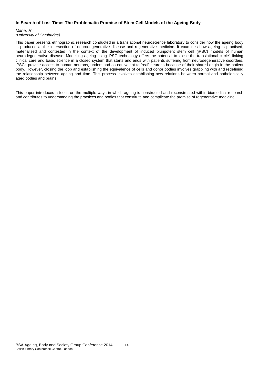#### **In Search of Lost Time: The Problematic Promise of Stem Cell Models of the Ageing Body**

#### *Milne, R.*

#### *(University of Cambridge)*

This paper presents ethnographic research conducted in a translational neuroscience laboratory to consider how the ageing body is produced at the intersection of neurodegenerative disease and regenerative medicine. It examines how ageing is practised, materialised and contested in the context of the development of induced pluripotent stem cell (iPSC) models of human neurodegenerative disease. Modelling ageing using iPSC technology offers the potential to 'close the translational circle', linking clinical care and basic science in a closed system that starts and ends with patients suffering from neurodegenerative disorders. iPSCs provide access to human neurons, understood as equivalent to 'real' neurons because of their shared origin in the patient body. However, closing the loop and establishing the equivalence of cells and donor bodies involves grappling with and redefining the relationship between ageing and time. This process involves establishing new relations between normal and pathologically aged bodies and brains.

This paper introduces a focus on the multiple ways in which ageing is constructed and reconstructed within biomedical research and contributes to understanding the practices and bodies that constitute and complicate the promise of regenerative medicine.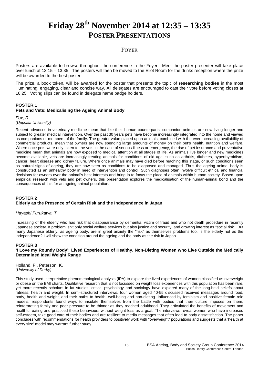# **Friday 28th November 2014 at 12:35 – 13:35 POSTER PRESENTATIONS**

# FOYER

Posters are available to browse throughout the conference in the Foyer. Meet the poster presenter will take place over lunch at 13:15 – 13:35. The posters will then be moved to the Eliot Room for the drinks reception where the prize will be awarded to the best poster.

The prize, a book token, will be awarded for the poster that presents the topic of **researching bodies** in the most illuminating, engaging, clear and concise way. All delegates are encouraged to cast their vote before voting closes at 16:25. Voting slips can be found in delegate name badge holders.

### **POSTER 1 Pets and Vets: Medicalising the Ageing Animal Body**

#### *Fox, R. (Uppsala University)*

.

Recent advances in veterinary medicine mean that like their human counterparts, companion animals are now living longer and subject to greater medical intervention. Over the past 30 years pets have become increasingly integrated into the home and viewed as companions or members of the family. The greater value placed upon animals, combined with the ever increasing availability of commercial products, mean that owners are now spending large amounts of money on their pet's health, nutrition and welfare. Where once pets were only taken to the vets in the case of serious illness or emergency, the rise of pet insurance and preventative medicine mean that animals are now exposed to medical attention at all stages of life. As animals live longer and new medicines become available, vets are increasingly treating animals for conditions of old age, such as arthritis, diabetes, hyperthyroidism, cancer, heart disease and kidney failure. Where once animals may have died before reaching this stage, or such conditions seen as natural signs of ageing, they are now seen as conditions to be diagnosed and managed. Thus the ageing animal body is constructed as an unhealthy body in need of intervention and control. Such diagnoses often involve difficult ethical and financial decisions for owners over the animal's best interests and bring in to focus the place of animals within human society. Based upon empirical research with vets and pet owners, this presentation explores the medicalisation of the human-animal bond and the consequences of this for an ageing animal population.

# **POSTER 2 Elderly as the Presence of Certain Risk and the Independence in Japan**

### *Hayashi Furukawa, T.*

Increasing of the elderly who has risk that disappearance by dementia, victim of fraud and who not death procedure in recently Japanese society. It problem isn't only social welfare services but also justice and security, and growing interest as "social risk". But many Japanese elderly, as ageing body, are in great anxiety the "risk" as themselves problems too. Is the elderly not as the independence? I will show the condition around the ageing and the body as the risk in Japan.

#### **POSTER 3 'I Love my Roundy Body': Lived Experiences of Healthy, Non-Dieting Women who Live Outside the Medically Determined Ideal Weight Range**

Holland, F., Peterson, K. *(University of Derby)*

This study used interpretative phenomenological analysis (IPA) to explore the lived experiences of women classified as overweight or obese on the BMI charts. Qualitative research that is not focussed on weight loss experiences with this population has been rare, yet more recently scholars in fat studies, critical psychology and sociology have explored many of the long-held beliefs about fatness, health and weight. In semi-structured interviews, four women aged 40-55 discussed received messages around food, body, health and weight, and their paths to health, well-being and non-dieting. Influenced by feminism and positive female role models, respondents found ways to insulate themselves from the battle with bodies that their culture imposes on them, reinterpreting family and peer pressure to be thinner as they reached adulthood. They articulated the benefits of movement and healthful eating and practiced these behaviours without weight loss as a goal. The interviews reveal women who have increased self-esteem, take good care of their bodies and are resilient to media messages that often lead to body dissatisfaction. The paper concludes with recommendations for health providers to positively work with "overweight" populations and suggests that a 'health at every size' model may warrant further study.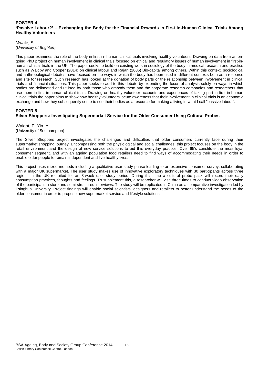#### **POSTER 4 'Passive Labour?' – Exchanging the Body for the Financial Rewards in First In-Human Clinical Trials Among Healthy Volunteers**

#### Mwale, S. *(University of Brighton)*

This paper examines the role of the body in first in- human clinical trials involving healthy volunteers. Drawing on data from an ongoing PhD project on human involvement in clinical trials focused on ethical and regulatory issues of human involvement in first-inhuman clinical trials in the UK. The paper seeks to build on existing work in sociology of the body in medical research and practice such as Waldby and Cooper (2014) on clinical labour and Rajan (2006) Bio-capital among others. Within this context, sociological and anthropological debates have focused on the ways in which the body has been used in different contexts both as a resource and site for research. Such research has looked at the donation of body parts or the relationship between involvement in clinical trials and financial situations. This paper seeks to add to this debate by extending the focus of analysis solely on ways in which bodies are delineated and utilised by both those who embody them and the corporate research companies and researchers that use them in first in-human clinical trials. Drawing on healthy volunteer accounts and experiences of taking part in first in-human clinical trials the paper aims to show how healthy volunteers' acute awareness that their involvement in clinical trials is an economic exchange and how they subsequently come to see their bodies as a resource for making a living in what I call "passive labour".

# **POSTER 5**

# **Silver Shoppers: Investigating Supermarket Service for the Older Consumer Using Cultural Probes**

Waight, E. Yin, Y. (University of Southampton)

The Silver Shoppers project investigates the challenges and difficulties that older consumers currently face during their supermarket shopping journey. Encompassing both the physiological and social challenges, this project focuses on the body in the retail environment and the design of new service solutions to aid this everyday practice. Over 65's constitute the most loyal consumer segment, and with an ageing population food retailers need to find ways of accommodating their needs in order to enable older people to remain independent and live healthy lives.

This project uses mixed methods including a qualitative user study phase leading to an extensive consumer survey, collaborating with a major UK supermarket. The user study makes use of innovative exploratory techniques with 30 participants across three regions in the UK recruited for an 8-week user study period. During this time a cultural probe pack will record their daily consumption practices, thoughts and feelings. To supplement this, a researcher will visit three times to conduct video observation of the participant in store and semi-structured interviews. The study will be replicated in China as a comparative investigation led by Tsinghua University. Project findings will enable social scientists, designers and retailers to better understand the needs of the older consumer in order to propose new supermarket service and lifestyle solutions.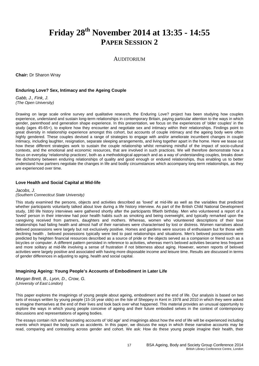# **Friday 28th November 2014 at 13:35 - 14:55 PAPER SESSION 2**

# AUDITORIUM

**Chair:** Dr Sharon Wray

#### **Enduring Love? Sex, Intimacy and the Ageing Couple**

*Gabb, J., Fink, J. (The Open University)*

Drawing on large scale online survey and qualitative research, the Enduring Love? project has been studying how couples experience, understand and sustain long-term relationships in contemporary Britain, paying particular attention to the ways in which gender, parenthood and generation shape experience. In this presentation, we focus on the experiences of 'older couples' in the study (ages 45-65+), to explore how they encounter and negotiate sex and intimacy within their relationships. Findings point to great diversity in relationship experience amongst this cohort, but accounts of couple intimacy and the ageing body were often highly gendered. These couples devised a range of strategies to engage with and/or ameliorate incumbent changes in couple intimacy, including laughter, resignation, separate sleeping arrangements, and living together apart in the home. Here we tease out how these different strategies work to sustain the couple relationship whilst remaining mindful of the impact of socio-cultural contexts, and the emotional and economic resources, that are involved in such practices. We will therefore demonstrate how a focus on everyday 'relationship practices', both as a methodological approach and as a way of understanding couples, breaks down the dichotomy between enduring relationships of quality and good enough or endured relationships, thus enabling us to better understand how partners negotiate the changes in life and bodily circumstances which accompany long-term relationships, as they are experienced over time.

#### **Love Health and Social Capital at Mid-life**

*Jacobs, J.*

#### *(Southern Connecticut State University)*

This study examined the persons, objects and activities described as 'loved' at mid-life as well as the variables that predicted whether participants voluntarily talked about love during a life history interview. As part of the British Child National Development study, 180 life history interviews were gathered shortly after the participants fiftieth birthday. Men who volunteered a report of a 'loved' person in their interview had poor health habits such as smoking and being overweight, and typically remarked upon the caregiving received from partners, daughters and mothers. Whereas, women who volunteered descriptions of their love relationships had failing health and almost half of their narratives were characterised by lost or distress. Women narratives about beloved possessions were largely but not exclusively positive. Homes and gardens were sources of enthusiasm but for those with declining health , beloved possessions typically were tied to past relationships and situations. Men's beloved possessions were predicted by heighten financial resources described as a source of pride or the objects served as a companion or friend such as a bicycles or computer. A different pattern persisted in reference to activities, whereas men's beloved activities became less frequent and more solitary at mid-life involving a sense of frustration if not bitterness about aging. However, women reports of beloved activities were largely positive and associated with having more disposable income and leisure time. Results are discussed in terms of gender differences in adjusting to aging, health and social capital.

#### **Imagining Ageing: Young People's Accounts of Embodiment in Later Life**

*Morgan Brett, B., Lyon, D., Crow, G. (University of East London)*

This paper explores the imaginings of young people about ageing, embodiment and the end of life. Our analysis is based on two sets of essays written by young people (15-16 year olds) on the Isle of Sheppey in Kent in 1978 and 2010 in which they were asked to imagine themselves at the end of their lives and look back over what happened. This material provides an unusual opportunity to explore the ways in which young people conceive of ageing and their future embodied selves in the context of contemporary discussions and representations of ageing bodies.

The essays contain rich and fascinating accounts of 'old age' and imaginings about how the end of life will be experienced including events which impact the body such as accidents. In this paper, we discuss the ways in which these narrative accounts may be read, comparing and contrasting across gender and cohort. We ask: How do these young people imagine their health, their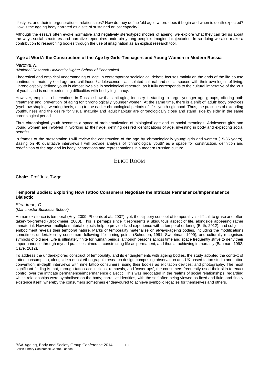lifestyles, and their intergenerational relationships? How do they define 'old age', where does it begin and when is death expected? How is the ageing body narrated as a site of sustained or lost capacity?

Although the essays often evoke normative and negatively stereotyped models of ageing, we explore what they can tell us about the ways social structures and narrative repertoires underpin young people's imagined trajectories. In so doing we also make a contribution to researching bodies through the use of imagination as an explicit research tool.

#### **'Age at Work': the Construction of the Age by Girls-Teenagers and Young Women in Modern Russia**

#### *Nartova, N.*

#### *(National Research University Higher School of Economics)*

Theoretical and empirical understanding of 'age' in contemporary sociological debate focuses mainly on the ends of the life course continuum - maturity / old age and childhood / adolescence - as isolated cultural and social spaces with their own logics of living. Chronologically defined youth is almost invisible in sociological research, as it fully corresponds to the cultural imperative of the 'cult of youth' and is not experiencing difficulties with bodily legitimacy.

However, empirical observations in Russia show that anti-aging industry is starting to target younger age groups, offering both 'treatment' and 'prevention' of aging for 'chronologically' younger women. At the same time, there is a shift of 'adult' body practices (eyebrow shaping, wearing heels, etc.) to the earlier chronological periods of life - youth / girlhood. Thus, the practices of extending youthfulness and the desire for visual maturity and 'adult habitus' are chronologically close and stand 'side by side' in the same chronological period.

Thus chronological youth becomes a space of problematization of 'biological' age and its social meanings. Adolescent girls and young women are involved in 'working at' their age, defining desired identifications of age, investing in body and expecting social benefits.

In frames of the presentation I will review the construction of the age by 'chronologically young' girls and women (15-35 years). Basing on 40 qualitative interviews I will provide analysis of 'chronological youth' as a space for construction, definition and redefinition of the age and its body incarnations and representations in a modern Russian culture.

# ELIOT ROOM

**Chair:** Prof Julia Twigg

#### **Temporal Bodies: Exploring How Tattoo Consumers Negotiate the Intricate Permanence/Impermanence Dialectic**

#### *Steadman, C.*

*(Manchester Business School)*

Human existence is temporal (Hoy, 2009; Phoenix et al., 2007); yet, the slippery concept of temporality is difficult to grasp and often taken-for-granted (Brockmeier, 2000). This is perhaps since it represents a ubiquitous aspect of life, alongside appearing rather immaterial. However, multiple material objects help to provide lived experience with a temporal ordering (Birth, 2012), and subjects' embodiment reveals their temporal nature. Marks of temporality materialise on always-ageing bodies, including the modifications sometimes undertaken by consumers following life turning points (Schouten, 1991; Sweetman, 1999), and culturally recognised symbols of old age. Life is ultimately finite for human beings, although persons across time and space frequently strive to deny their impermanence through myriad practices aimed at constructing life as permanent, and thus at achieving immortality (Bauman, 1992; Cave, 2012).

To address the underexplored construct of temporality, and its entanglements with ageing bodies, the study adopted the context of tattoo consumption, alongside a quasi-ethnographic research design comprising observation at a UK-based tattoo studio and tattoo convention; in-depth interviews with nine tattoo consumers, using their bodies as elicitation devices; and photography. The most significant finding is that, through tattoo acquisitions, removals, and 'cover-ups', the consumers frequently used their skin to enact control over the intricate permanence/impermanence dialectic. This was negotiated in the realms of social relationships, regarding which relationships were symbolised on the body; narrative identities, with the self often being viewed as fixed and fluid; and finally existence itself, whereby the consumers sometimes endeavoured to achieve symbolic legacies for themselves and others.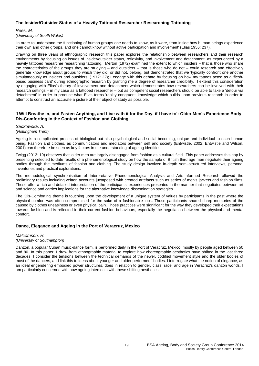#### **The Insider/Outsider Status of a Heavily Tattooed Researcher Researching Tattooing**

#### *Rees, M.*

*(University of South Wales)*

'In order to understand the functioning of human groups one needs to know, as it were, from inside how human beings experience their own and other groups, and one cannot know without active participation and involvement' (Elias 1956: 237).

Drawing on three years of ethnographic research this paper explores the relationship between researchers and their research environments by focusing on issues of insider/outsider status, reflexivity, and involvement and detachment, as experienced by a heavily tattooed researcher researching tattooing. Merton (1972) examined the extent to which insiders – that is those who share the characteristics of the groups they are studying – and outsiders – that is those who do not – could research and effectively generate knowledge about groups to which they did, or did not, belong, but demonstrated that we 'typically confront one another simultaneously as insiders and outsiders' (1972: 22); I engage with this debate by focusing on how my tattoos acted as a 'fleshbased business card' during ethnographic research by granting me a degree of researcher credibility. I extend this consideration by engaging with Elias's theory of involvement and detachment which demonstrates how researchers can be involved with their research settings – in my case as a tattooed researcher – but as competent social researchers should be able to take a 'detour via detachment' in order to produce what Elias terms 'reality congruent' knowledge which builds upon previous research in order to attempt to construct an accurate a picture of their object of study as possible.

#### **'I Will Breathe in, and Fasten Anything, and Live with it for the Day, if I have to': Older Men's Experience Body Dis-Comforting in the Context of Fashion and Clothing**

#### *Sadkowska, A. (Nottingham Trent)*

Ageing is a complicated process of biological but also psychological and social becoming, unique and individual to each human being. Fashion and clothes, as communicators and mediators between self and society (Entwistle, 2002; Entwistle and Wilson, 2001) can therefore be seen as key factors in the understanding of ageing identities.

Twigg (2013: 19) observes that 'older men are largely disengaged from fashion as a cultural field'. This paper addresses this gap by presenting selected to-date results of a phenomenological study on how the sample of British third age men negotiate their ageing bodies through the mediums of fashion and clothing. The study design involved in-depth semi-structured interviews, personal inventories and practical explorations.

The methodological synchronisation of Interpretative Phenomenological Analysis and Arts-Informed Research allowed the preliminary results including written accounts juxtaposed with created artefacts such as series of men's jackets and fashion films. These offer a rich and detailed interpretation of the participants' experiences presented in the manner that negotiates between art and science and carries implications for the alternative knowledge dissemination strategies.

The 'Dis-Comforting' theme is touching upon the development of a unique system of values by participants in the past where the physical comfort was often compromised for the sake of a fashionable look. Those participants shared sharp memories of the caused by clothes uneasiness or even physical pain. Those practices were significant for the way they developed their expectations towards fashion and is reflected in their current fashion behaviours, especially the negotiation between the physical and mental comfort.

### **Dance, Elegance and Ageing in the Port of Veracruz, Mexico**

#### *Malcomson, H. (University of Southampton)*

Danzón, a popular Cuban music-dance form, is performed daily in the Port of Veracruz, Mexico, mostly by people aged between 50 and 80. In this paper, I draw from ethnographic material to explore how choreographic aesthetics have shifted in the last three decades. I consider the tensions between the technical demands of the newer, codified movement style and the older bodies of most of the dancers, and link this to ideas about younger and older performers' bodies. I interrogate what the notion of elegance, as an ideal engendering embodied power structures, does in relation to gender, class, race, and age in Veracruz's danzón worlds. I am particularly concerned with how ageing intersects with these shifting aesthetics.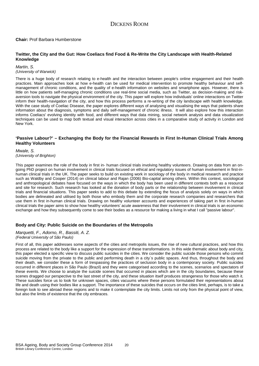#### **Chair:** Prof Barbara Humberstone

#### **Twitter, the City and the Gut: How Coeliacs find Food & Re-Write the City Landscape with Health-Related Knowledge**

#### *Martin, S. (University of Warwick)*

There is a huge body of research relating to e-health and the interaction between people's online engagement and their health practices. Main approaches look at how e-health can be used for medical intervention to promote healthy behaviour and selfmanagement of chronic conditions, and the quality of e-health information on websites and smartphone apps. However, there is little on how patients self-managing chronic conditions use real-time social media, such as Twitter, as decision-making and riskaversion tools to navigate the physical environment of the city. This paper will explore how individuals' online interactions on Twitter inform their health-navigation of the city, and how this process performs a re-writing of the city landscape with health knowledge. With the case study of Coeliac Disease, the paper explores different ways of analysing and visualising the ways that patients share information about the diagnosis, symptoms and daily self-management of chronic illness. It will also explore how this interaction informs Coeliacs' evolving identity with food, and different ways that data mining, social network analysis and data visualization techniques can be used to map both textual and visual interaction across cities in a comparative study of activity in London and New York.

#### **'Passive Labour?' – Exchanging the Body for the Financial Rewards in First In-Human Clinical Trials Among Healthy Volunteers**

*Mwale, S. (University of Brighton)*

This paper examines the role of the body in first in- human clinical trials involving healthy volunteers. Drawing on data from an ongoing PhD project on human involvement in clinical trials focused on ethical and regulatory issues of human involvement in first-inhuman clinical trials in the UK. The paper seeks to build on existing work in sociology of the body in medical research and practice such as Waldby and Cooper (2014) on clinical labour and Rajan (2006) Bio-capital among others. Within this context, sociological and anthropological debates have focused on the ways in which the body has been used in different contexts both as a resource and site for research. Such research has looked at the donation of body parts or the relationship between involvement in clinical trials and financial situations. This paper seeks to add to this debate by extending the focus of analysis solely on ways in which bodies are delineated and utilised by both those who embody them and the corporate research companies and researchers that use them in first in-human clinical trials. Drawing on healthy volunteer accounts and experiences of taking part in first in-human clinical trials the paper aims to show how healthy volunteers' acute awareness that their involvement in clinical trials is an economic exchange and how they subsequently come to see their bodies as a resource for making a living in what I call "passive labour".

#### **Body and City: Public Suicide on the Boundaries of the Metropolis**

#### *Marquetti, F., Adorno, R., Bassiti, A. Z. (Federal University of São Paulo)*

First of all, this paper addresses some aspects of the cities and metropolis issues, the rise of new cultural practices, and how this process are related to the body like a support for the expression of these transformations. In this wide thematic about body and city, this paper elected a specific view to discuss public suicides in the cities. We consider the public suicide those persons who commit suicide moving from the private to the public and performing death in a city`s public spaces. And thus, throughout the body and their death, we consider these a form of trespassing the practices of seclusion body in a contemporary society. Public suicides occurred in different places in São Paulo (Brazil) and they were categorised according to the scenes, scenarios and spectators of these events. We choose to analyze the suicide scenes that occurred in places which are in the city boundaries, because these scenes dragged our perspective to the last street of the city, and these situation itself produces strangeness for those who watch it. These suicides force us to look for unknown spaces, cities vacuums where these persons formulated their representations about life and death using their bodies like a support. The importance of these suicides that occurs on the cities limit, perhaps, is to take a foreign look to see abroad these regions and to make it contemplate the city limits. Limits not only from the physical point of view, but also the limits of existence that the city embraces.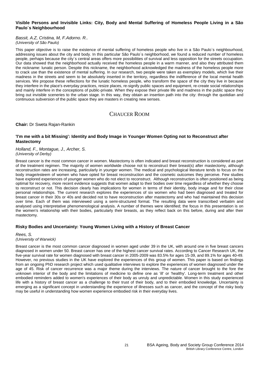#### **Visible Persons and Invisible Links: City, Body and Mental Suffering of Homeless People Living in a São Paulo´s Neighbourhood**

#### *Bassit, A.Z, Cristina, M, F.Adorno. R.. (University of São Paulo)*

This paper objective is to raise the existence of mental suffering of homeless people who live in a São Paulo`s neighbourhood, addressing issues about the city and body. In this particular São Paulo´s neighborhood, we found a reduced number of homeless people, perhaps because the city´s central areas offers more possibilities of survival and less opposition for the streets occupation. Our data showed that the neighborhood actually received the homeless people in a warm manner, and also they attributed them the nickname: lunatic person. Despite this nickname, the neighborhood acknowledged the madness of the homeless people more to crack use than the existence of mental suffering. In our research, two people were taken as exemplary models, which live their madness in the streets and seem to be absolutely inserted in the territory, regardless the indifference of the local mental health services. We propose these reflections for the lunatic homeless people, who transform the space of the city they live in because they interfere in the place's everyday practices, resize places, re-signify public spaces and equipment, re-create social relationships and mainly interfere in the conceptions of public-private. When they expose their private life and madness in the public space they bring out invisible sceneries to the urban stage. In this way, they obtain an insertion path into the city: through the quotidian and continuous subversion of the public space they are masters in creating new senses.

# CHAUCER ROOM

#### **Chair:** Dr Sweta Rajan-Rankin

#### **'I'm me with a bit Missing': Identity and Body Image in Younger Women Opting not to Reconstruct after Mastectomy**

#### *Holland, F., Montague, J., Archer, S. (University of Derby)*

Breast cancer is the most common cancer in women. Mastectomy is often indicated and breast reconstruction is considered as part of the treatment regimen. The majority of women worldwide choose not to reconstruct their breast(s) after mastectomy, although reconstruction rates are increasing, particularly in younger women. The medical and psychological literature tends to focus on the body image/esteem of women who have opted for breast reconstruction and the cosmetic outcomes they perceive. Few studies have explored experiences of younger women who do not elect to reconstruct. Although reconstruction is often positioned as being optimal for recovery, more recent evidence suggests that women adapt to their bodies over time regardless of whether they choose to reconstruct or not. This decision clearly has implications for women in terms of their identity, body image and for their close personal relationships. The current research explores the experiences of six women who had been diagnosed and treated for breast cancer in their 30s or 40s and decided not to have reconstruction after mastectomy and who had maintained this decision over time. Each of them was interviewed using a semi-structured format. The resulting data were transcribed verbatim and analysed using interpretative phenomenological analysis. A number of themes were identified; the focus in this presentation is on the women's relationship with their bodies, particularly their breasts, as they reflect back on this before, during and after their mastectomy.

### **Risky Bodies and Uncertainty: Young Women Living with a History of Breast Cancer**

#### *Rees, S. (University of Warwick)*

Breast cancer is the most common cancer diagnosed in women aged under 39 in the UK, with around one in five breast cancers diagnosed in women under 50. Breast cancer has one of the highest cancer survival rates. According to Cancer Research UK, the five-year survival rate for women diagnosed with breast cancer in 2005-2009 was 83.5% for ages 15-39, and 89.1% for ages 40-49. However, no previous studies in the UK have explored the experiences of this group of women. This paper is based on findings from an ongoing PhD research project which used qualitative interviews to explore the experiences of women diagnosed under the age of 45. Risk of cancer recurrence was a major theme during the interviews. The nature of cancer brought to the fore the unknown interior of the body and the limitations of medicine to define one as 'ill' or 'healthy'. Long-term treatment and other embodied reminders added to women's experiences of their body as unruly and unpredictable. Women in this study experienced life with a history of breast cancer as a challenge to their trust of their body, and to their embodied knowledge. Uncertainty is emerging as a significant concept in understanding the experience of illnesses such as cancer, and the concept of the risky body may be useful in understanding how women experience embodied risk in their everyday lives.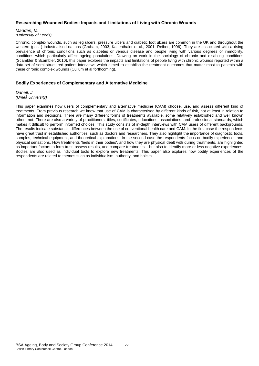#### **Researching Wounded Bodies: Impacts and Limitations of Living with Chronic Wounds**

*Madden, M. (University of Leeds)*

Chronic, complex wounds, such as leg ulcers, pressure ulcers and diabetic foot ulcers are common in the UK and throughout the western (post-) industrialised nations (Graham, 2003; Kaltenthaler et al., 2001; Reiber, 1996). They are associated with a rising prevalence of chronic conditions such as diabetes or venous disease and people living with various degrees of immobility, conditions which particularly affect ageing populations. Drawing on work in the sociology of chronic and disabling conditions (Scambler & Scambler, 2010), this paper explores the impacts and limitations of people living with chronic wounds reported within a data set of semi-structured patient interviews which aimed to establish the treatment outcomes that matter most to patients with these chronic complex wounds (Cullum et al forthcoming).

#### **Bodily Experiences of Complementary and Alternative Medicine**

*Danell, J. (Umeå University)*

This paper examines how users of complementary and alternative medicine (CAM) choose, use, and assess different kind of treatments. From previous research we know that use of CAM is characterised by different kinds of risk, not at least in relation to information and decisions. There are many different forms of treatments available, some relatively established and well known others not. There are also a variety of practitioners, titles, certificates, educations, associations, and professional standards, which makes it difficult to perform informed choices. This study consists of in-depth interviews with CAM users of different backgrounds. The results indicate substantial differences between the use of conventional health care and CAM. In the first case the respondents have great trust in established authorities, such as doctors and researchers. They also highlight the importance of diagnostic tools, samples, technical equipment, and theoretical explanations. In the second case the respondents focus on bodily experiences and physical sensations. How treatments 'feels in their bodies', and how they are physical dealt with during treatments, are highlighted as important factors to form trust, assess results, and compare treatments – but also to identify more or less negative experiences. Bodies are also used as individual tools to explore new treatments. This paper also explores how bodily experiences of the respondents are related to themes such as individualism, authority, and holism.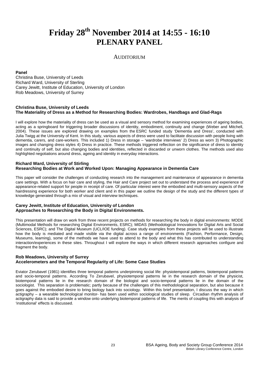# **Friday 28th November 2014 at 14:55 - 16:10 PLENARY PANEL**

### AUDITORIUM

#### **Panel**

Christina Buse, University of Leeds Richard Ward, University of Sterling Carey Jewitt, Institute of Education, University of London Rob Meadows, University of Surrey

#### **Christina Buse, University of Leeds The Materiality of Dress as a Method for Researching Bodies: Wardrobes, Handbags and Glad-Rags**

I will explore how the materiality of dress can be used as a visual and sensory method for examining experiences of ageing bodies, acting as a springboard for triggering broader discussions of identity, embodiment, continuity and change (Weber and Mitchell, 2004). These issues are explored drawing on examples from the ESRC funded study 'Dementia and Dress', conducted with Julia Twigg at the University of Kent. In this study, various aspects of dress were used to facilitate discussion with people living with dementia, carers, and care-workers. This included 1) Dress in storage – 'wardrobe interviews' 2) Dress as worn 3) Photographic images and changing dress styles 4) Dress in practice. These methods triggered reflection on the significance of dress to identity and continuity of self, but also changing bodies and identities, reflected in discarded or unworn clothes. The methods used also highlighted negotiations around dress, ageing and identity in everyday interactions.

#### **Richard Ward, University of Stirling Researching Bodies at Work and Worked Upon: Managing Appearance in Dementia Care**

This paper will consider the challenges of conducting research into the management and maintenance of appearance in dementia care settings. With a focus on hair care and styling, the Hair and Care project set out to understand the process and experience of appearance-related support for people in receipt of care. Of particular interest were the embodied and multi-sensory aspects of the hairdressing experience for both worker and client and in this paper we outline the design of the study and the different types of knowledge generated through a mix of visual and interview techniques.

#### **Carey Jewitt, Institute of Education, University of London Approaches to Researching the Body in Digital Environments.**

This presentation will draw on work from three recent projects on methods for researching the body in digital environments: MODE (Multimodal Methods for researching Digital Environments, ESRC); MIDAS (Methodological Innovations for Digital Arts and Social Sciences, ESRC); and The Digital Museum (UCL/IOE funding). Case study examples from these projects will be used to illustrate how the body is mediated and made visible via the digital across a range of environments (Fashion, Performance, Design, Museums, learning), some of the methods we have used to attend to the body and what this has contributed to understanding interaction/experiences in these sites. Throughout I will explore the ways in which different research approaches configure and fragment the body.

#### **Rob Meadows, University of Surrey Accelerometers and the Temporal Regularity of Life: Some Case Studies**

Eviator Zerubavel (1981) identifies three temporal patterns underpinning social life: physiotemporal patterns, biotemporal patterns and socio-temporal patterns. According To Zerubavel, physiotemporal patterns lie in the research domain of the physicist, biotemporal patterns lie in the research domain of the biologist and socio-temporal patterns lie in the domain of the sociologist. This separation is problematic; partly because of the challenges of this methodological separation, but also because it goes against the embodied desire to bring biology back into sociology. Within this brief presentation, I discuss the way in which actigraphy – a wearable technological monitor- has been used within sociological studies of sleep. Circadian rhythm analysis of actigraphy data is said to provide a window onto underlying biotemporal patterns of life. The merits of coupling this with analysis of 'institutional' effects is discussed.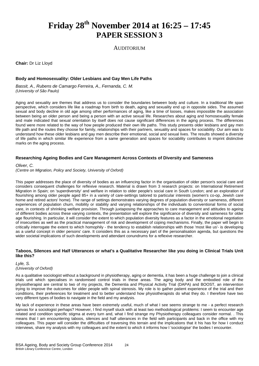# **Friday 28th November 2014 at 16:25 – 17:45 PAPER SESSION 3**

AUDITORIUM

**Chair:** Dr Liz Lloyd

#### **Body and Homosexuality: Older Lesbians and Gay Men Life Paths**

*Bassit, A., Rubens de Camargo Ferreira, A., Fernanda, C. M. (University of São Paulo)*

Aging and sexuality are themes that address us to consider the boundaries between body and culture. In a traditional life span perspective, which considers life like a roadmap from birth to death, aging and sexuality end up in opposite sides. The assumed sexual and body decline in old age among other performances of aging, like a time of looses, makes impossible the association between being an older person and being a person with an active sexual life. Researches about aging and homosexuality female and male indicated that sexual orientation by itself does not cause significant differences in the aging process. The differences found were more related to the way of how people produced their own life paths. This study presents older lesbians and gay men life path and the routes they choose for family, relationships with their partners, sexuality and spaces for sociability. Our aim was to understand how these older lesbians and gay men describe their emotional, social and sexual lives. The results showed a diversity of life paths in which similar life experience from a same generation and spaces for sociability contributes to imprint distinctive marks on the aging process.

#### **Researching Ageing Bodies and Care Management Across Contexts of Diversity and Sameness**

*Oliver, C.*

*(Centre on Migration, Policy and Society, University of Oxford)*

This paper addresses the place of diversity of bodies as an influencing factor in the organisation of older person's social care and considers consequent challenges for reflexive research. Material is drawn from 3 research projects: on International Retirement Migration in Spain; on 'superdiversity' and welfare in relation to older people's social care in South London; and an exploration of flourishing among older people aged 85+ in a variety of care-settings tailored to particular interests (women's co-op, Jewish care home and retired actors' home). The range of settings demonstrates varying degrees of population diversity or sameness, different experiences of population churn, mobility or stability and varying relationships of the individuals to conventional forms of social care, in contexts of shrinking welfare provision. Through juxtaposing the approaches to care management and attitudes to ageing of different bodies across these varying contexts, the presentation will explore the significance of diversity and sameness for older age flourishing. In particular, it will consider the extent to which population diversity features as a factor in the emotional negotiation of insecurities as well as the practical management of risk and development of coping mechanisms. Finally, the paper will begin to critically interrogate the extent to which homophily - the tendency to establish relationships with those 'most like us'- is developing as a useful concept in older persons' care. It considers this as a necessary part of the personalisation agenda, but questions the wider societal implications of such developments and attendant conundrums for a reflexive researcher.

#### **Taboos, Silences and Half Utterances or what's a Qualitative Researcher like you doing in Clinical Trials Unit like this?**

*Lyle, S. (University of Oxford)*

As a qualitative sociologist without a background in physiotherapy, aging or dementia, it has been a huge challenge to join a clinical trials unit which specialises in randomised control trials in these areas. The aging body and the embodied role of the physiotherapist are central to two of my projects, the Dementia and Physical Activity Trial (DAPA) and BOOST, an intervention trying to improve the outcomes for older people with spinal stenosis. My role is to gather patient experience of the trial and their conditions, their preferences for treatment and to better understand how physiotherapists do what they do. I therefore have two very different types of bodies to navigate in the field and my analysis.

My lack of experience in these areas have been extremely useful, much of what I see seems strange to me - a perfect research canvas for a sociologist perhaps? However, I find myself stuck with at least two methodological problems: I seem to encounter age related and condition specific stigma at every turn and, what I find strange my Physiotherapy colleagues consider normal. . This means that I am encountering taboos, silences and half utterances in the field with participants and back in the office with my colleagues. This paper will consider the difficulties of traversing this terrain and the implications that it his has for how I conduct interviews, share my analysis with my colleagues and the extent to which it informs how I 'sociologise' the bodies I encounter.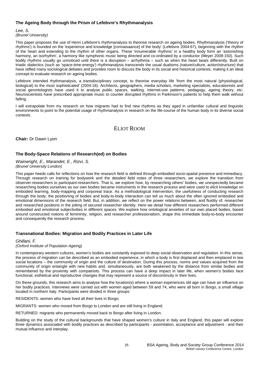#### **The Ageing Body through the Prism of Lefebvre's Rhythmanalysis**

*Lee, S. (Brunel University)*

This paper proposes the use of Henri Lefebvre's rhythmanalysis to theorise research on ageing bodies. Rhythmanalysis ('theory of rhythms') is founded on the 'experience and knowledge [connaisaance] of the body' (Lefebvre 2004:67), beginning with the rhythm of the heart and extending to the rhythm of other organs. These 'innumerable rhythms' in a healthy body form an 'astonishing harmony, an isorhythm', a harmony like symphonic music being directed and co-ordinated by a conductor (Meyer 2008:150). Such bodily rhythms usually go unnoticed until there is a disruption – arrhythmia – such as when the heart beats differently. Built on triadic dialectics (such as 'space-time-energy') rhythmanalysis transcends the usual dualisms (nature/culture, action/structure) that have stifled many sociological debates and provides room to discuss the body in its social and historical contexts, making it an ideal concept to evaluate research on ageing bodies.

Lefebvre intended rhythmanalysis, a transdisciplinary concept, to theorise everyday life 'from the most natural (physiological, biological) to the most sophisticated' (2004:18). Architects, geographers, media scholars, marketing specialists, educationists and social gerontologists have used it to analyse public spaces, walking, internet-use patterns, pedagogy, ageing theory, etc. Neuroscientists have prescribed appropriate music to counter disrupted rhythms in Parkinson's patients to help them walk without falling.

I will extrapolate from my research on how migrants had to find new rhythms as they aged in unfamiliar cultural and linguistic environments to point to the potential usage of rhythmanalysis in research on the life-course of the human body in its diverse social contexts.

# ELIOT ROOM

**Chair:** Dr Dawn Lyon

# **The Body-Space Relations of Research(ed) on Bodies**

*Wainwright, E., Marandet, E., Rizvi, S. (Brunel University London)*

This paper heeds calls for reflections on how the research field is defined through embodied socio-spatial presence and immediacy. Through research on training for bodywork and the detailed field notes of three researchers, we explore the transition from observer-researchers to participant-researchers. That is, we explore how, by researching others' bodies, we unexpectedly became researching bodies ourselves as our own bodies became instruments in the research process and were used to elicit knowledge on embodied learning, body-mapping and corporeal trace. As a methodological intervention, the usefulness of conducting research through the body, the positioning of bodies and body-to-body interaction can tell us much about the often ignored embodied and emotional dimensions of the research field. But, in addition, we reflect on the power relations between, and fluidity of, researcher and researched positions in the jolting of secured researcher identity. Here we detail how different researchers performed different embodied and emotional subjectivities in different spaces. We explore how ontological anxieties of our own placed bodies, based around constructed notions of femininity, religion, and researcher professionalism, shape this immediate body-to-body encounter and consequently the research process.

### **Transnational Bodies: Migration and Bodily Practices in Later Life**

*Ghillani, F.*

*(Oxford Institute of Population Ageing)*

In contemporary western cultures, women's bodies are constantly exposed to deep social observation and regulation. In this sense, the process of migration can be described as an embodied experience, in which a body is first displaced and then emplaced in two social locations – the community of origin and the culture of destination. During this process, norms and values acquired from the community of origin entangle with new habits and, simultaneously, are both weakened by the distance from similar bodies and remembered by the proximity with compatriots. This process can have a deep impact in later life, when women's bodies face functional, esthetical and reproductive changes that may represent a source of discontinuity in their lives.

On these grounds, this research aims to analyse how the location(s) where a woman experiences old age can have an influence on her bodily practices. Interviews were carried out with women aged between 59 and 74, who were all born in Borgo, a small village located in northern Italy. Participants were divided in three groups:

RESIDENTS: women who have lived all their lives in Borgo;

MIGRANTS: women who moved from Borgo to London and are still living in England;

RETURNED: migrants who permanently moved back to Borgo after living in London.

Building on the study of the cultural backgrounds that have shaped women's culture in Italy and England, this paper will explore three dynamics associated with bodily practices as described by participants - assimilation, acceptance and adjustment - and their mutual influence and interplay.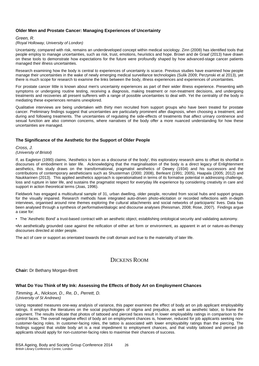#### **Older Men and Prostate Cancer: Managing Experiences of Uncertainty**

#### *Green, R.*

#### *(Royal Holloway, University of London)*

Uncertainty, compared with risk, remains an underdeveloped concept within medical sociology. Zinn (2008) has identified tools that people employ to manage uncertainties, such as risk, trust, emotions, heuristics and hope. Brown and de Graaf (2013) have drawn on these tools to demonstrate how expectations for the future were profoundly shaped by how advanced-stage cancer patients managed their illness uncertainties.

Research examining how the body is central to experiences of uncertainty is scarce. Previous studies have examined how people manage their uncertainties in the wake of newly emerging medical surveillance technologies (Sulik 2009; Perzynski et al 2013), yet there is much scope for research to examine the links between the body, illness experiences and experiences of uncertainties.

For prostate cancer little is known about men's uncertainty experiences as part of their wider illness experience. Presenting with symptoms or undergoing routine testing, receiving a diagnosis, making treatment or non-treatment decisions, and undergoing treatments and recoveries all present sufferers with a range of possible uncertainties to deal with. Yet the centrality of the body in mediating these experiences remains unexplored.

Qualitative interviews are being undertaken with thirty men recruited from support groups who have been treated for prostate cancer. Preliminary findings suggest that uncertainties are particularly prominent after diagnosis, when choosing a treatment, and during and following treatments. The uncertainties of regulating the side-effects of treatments that affect urinary continence and sexual function are also common concerns, where narratives of the body offer a more nuanced understanding for how these uncertainties are managed.

#### **The Significance of the Aesthetic for the Support of Older People**

#### *Cross, J. (University of Bristol)*

If, as Eagleton (1990) claims, 'Aesthetics is born as a discourse of the body', this exploratory research aims to offset its shortfall in discourses of embodiment in later life. Acknowledging that the marginalisation of the body is a direct legacy of Enlightenment aesthetics, this study draws on the transformational, pragmatist aesthetics of Dewey (1934) and his successors and the contributions of contemporary aestheticians such as Shusterman (2000; 2008), Berleant (1991; 2005), Haapala (2005; 2012) and Naukkarinen (2013). This applied aesthetics approach is operationalised in terms of its formative potential in addressing challenge, loss and rupture in later life, and sustains the pragmatist respect for everyday life experience by considering creativity in care and support in action theoretical terms (Joas, 1996).

Fieldwork has engaged a multicultural sample of 31, urban dwelling, older people, recruited from social hubs and support groups for the visually impaired. Research methods have integrated auto-driven photo-elicitation or recorded reflections with in-depth interviews, organised around nine themes exploring the cultural attachments and social networks of participants' lives. Data has been analysed through a synthesis of performative/dialogic and discourse analyses (Reissman, 2008; Rose, 2007). Findings argue a case for:

• The 'Aesthetic Bond' a trust-based contract with an aesthetic object, establishing ontological security and validating autonomy.

•An aesthetically grounded case against the reification of either art form or environment, as apparent in art or nature-as-therapy discourses directed at older people.

The act of care or support as orientated towards the craft domain and true to the materiality of later life.

# DICKENS ROOM

#### **Chair:** Dr Bethany Morgan-Brett

#### **What Do You Think of My Ink: Assessing the Effects of Body Art on Employment Chances**

*Timming, A., Nickson, D., Re, D., Perrett, D. (University of St Andrews)*

Using repeated measures one-way analysis of variance, this paper examines the effect of body art on job applicant employability ratings. It employs the literatures on the social psychologies of stigma and prejudice, as well as aesthetic labor, to frame the argument. The results indicate that photos of tattooed and pierced faces result in lower employability ratings in comparison to the control faces. The overall negative effect of body art on employment chances is, however, reduced for job applicants seeking noncustomer-facing roles. In customer-facing roles, the tattoo is associated with lower employability ratings than the piercing. The findings suggest that visible body art is a real impediment to employment chances, and that visibly tattooed and pierced job applicants should apply for non-customer-facing roles to maximise their chances of success.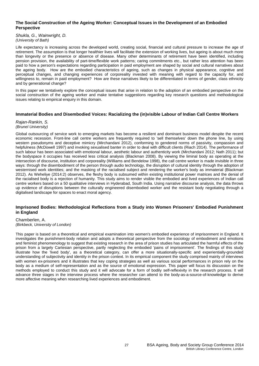#### **The Social Construction of the Ageing Worker: Conceptual Issues in the Development of an Embodied Perspective**

*Shukla, G., Wainwright, D. (University of Bath)*

Life expectancy is increasing across the developed world, creating social, financial and cultural pressure to increase the age of retirement. The assumption is that longer healthier lives will facilitate the extension of working lives, but ageing is about much more than longevity or the presence or absence of disease. Many other determinants of retirement have been identified, including pension provision, the availability of part-time/flexible work patterns; caring commitments etc., but rather less attention has been paid to how a person's expectations regarding participation in paid employment are shaped by social and cultural narratives about the ageing body. How are the embodied characteristics of ageing, such as changes in physical appearance, cognitive and perceptual changes, and changing experiences of corporeality invested with meaning with regard to the capacity for, and willingness to, remain in paid employment? How are these narratives likely to be differentiated in terms of gender, class ethnicity and by generational change?

In this paper we tentatively explore the conceptual issues that arise in relation to the adoption of an embodied perspective on the social construction of the ageing worker and make tentative suggestions regarding key research questions and methodological issues relating to empirical enquiry in this domain.

#### **Immaterial Bodies and Disembodied Voices: Racializing the (in)visible Labour of Indian Call Centre Workers**

*Rajan-Rankin, S. (Brunel University)*

Global outsourcing of service work to emerging markets has become a resilient and dominant business model despite the recent economic recession. Front-line call centre workers are frequently required to 'sell themselves' down the phone line, by using western pseudonyms and deceptive mimicry (Mirchandani 2012), conforming to gendered norms of passivity, compassion and helpfulness (McDowell 1997) and invoking sexualised banter in order to deal with difficult clients (Riach 2014). The performance of such labour has been associated with emotional labour, aesthetic labour and authenticity work (Mirchandani 2012; Nath 2011); but the bodyspace it occupies has received less critical analysis (Blackman 2008). By viewing the liminal body as operating at the intersection of discourse, institution and corporeality (Williams and Bendelow 1998), the call centre worker is made invisible in three ways: through the disembodiment of the person through audio technology, the disruption of cultural identity through the adoption of westernised work identities; and the masking of the racialised subject and rendering the worker's body as immaterial (Blackman 2012). As Weheliye (2014:2) observes, the fleshy body is subsumed within existing institutional power matrices and the denial of the racialised body is a rejection of humanity. This study aims to render visible the embodied and lived experiences of Indian call centre workers based on a 50 qualitative interviews in Hyderabad, South India. Using narrative discourse analysis, the data throws up evidence of disruptions between the culturally engineered disembodied worker and the resistant body negotiating through a digitalised landscape for spaces to enact moral agency.

#### **Imprisoned Bodies: Methodological Reflections from a Study into Women Prisoners' Embodied Punishment in England**

Chamberlen, A. *(Birkbeck, University of London)*

This paper is based on a theoretical and empirical examination into women's embodied experience of imprisonment in England. It investigates the punishment-body relation and adopts a theoretical perspective from the sociology of embodiment and emotions and feminist phenomenology to suggest that existing research in the area of prison studies has articulated the harmful effects of the prison from a largely Cartesian perspective, partly neglecting the embodied 'pains of imprisonment'. The findings of this study illustrate how the 'lived body', as a theoretical category, can offer a more situationally-specific and experientially-grounded understanding of subjectivity and identity in the prison context. In its empirical component the study comprised mainly of interviews with women ex-prisoners and it illustrates that key coping strategies as well as various social performances in prison rely on the body as a medium of self-representation and as the source of emotional expression. This paper will focus its discussion on the methods employed to conduct this study and it will advocate for a form of bodily self-reflexivity in the research process. It will advance three stages in the interview process where the researcher can attend to the body-as-a-source-of-knowledge to derive more affective meaning when researching lived experiences and embodiment.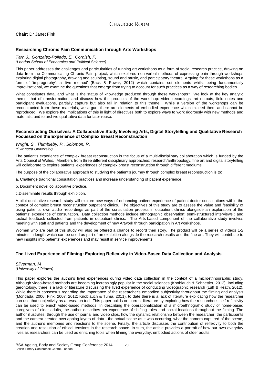**Chair:** Dr Janet Fink

#### **Researching Chronic Pain Communication through Arts Workshops**

#### *Tarr, J., Gonzalez-Polledo, E., Cornish, F. (London School of Economics and Political Science)*

This paper addresses the challenges and particularities of running art workshops as a form of social research practice, drawing on data from the Communicating Chronic Pain project, which explored non-verbal methods of expressing pain through workshops exploring digital photography, drawing and sculpting, sound and music, and participatory theatre. Arguing for these workshops as a form of 'imprography', a 'live method' (Back & Puwar, 2012) which contains set elements whilst being fundamentally improvisational, we examine the questions that emerge from trying to account for such practices as a way of researching bodies.

What constitutes data, and what is the status of knowledge produced through these workshops? We look at the key analytic theme, that of transformation, and discuss how the products of the workshop: video recordings, art outputs, field notes and participant evaluations, partially capture but also fail in relation to this theme. While a version of the workshops can be reconstructed from these materials, we argue, there are elements of embodied experience which exceed them and cannot be reproduced. We explore the implications of this in light of directives both to explore ways to work rigorously with new methods and materials, and to archive qualitative data for later reuse.

#### **Reconstructing Ourselves: A Collaborative Study Involving Arts, Digital Storytelling and Qualitative Research Focussed on the Experience of Complex Breast Reconstruction**

*Wright, S., Thimbleby, P., Solomon, R. (Swansea University)*

The patient's experience of complex breast reconstruction is the focus of a multi-disciplinary collaboration which is funded by the Arts Council of Wales. Members from three different disciplinary approaches: research/anthropology, fine art and digital storytelling will collaborate to explore patients' experiences of complex breast reconstruction through different mediums.

The purpose of the collaborative approach to studying the patient's journey through complex breast reconstruction is to:

a. Challenge traditional consultation practices and increase understanding of patient experience,

b. Document novel collaborative practice,

c.Disseminate results through exhibition.

A pilot qualitative research study will explore new ways of enhancing patient experience of patient-doctor consultations within the context of complex breast reconstruction outpatient clinics. The objectives of this study are to assess the value and feasibility of using patients' own audio -recordings as part of the consultation process in outpatient clinics alongside an exploration of the patients' experience of consultation. Data collection methods include ethnographic observation; semi-structured interviews ; and textual feedback collected from patients in outpatient clinics. The Arts-based component of the collaborative study involves meeting with staff and patients and the development of new Artwork through participation in Art workshops.

Women who are part of this study will also be offered a chance to record their story. The product will be a series of videos 1-2 minutes in length which can be used as part of an exhibition alongside the research results and the fine art. They will contribute to new insights into patients' experiences and may result in service improvements.

### **The Lived Experience of Filming: Exploring Reflexivity in Video-Based Data Collection and Analysis**

*Silverman, M (University of Ottawa)*

This paper explores the author's lived experiences during video data collection in the context of a microethnographic study. Although video-based methods are becoming increasingly popular in the social sciences (Knoblauch & Schnettler, 2012), including gerontology, there is a lack of literature discussing the lived experience of conducting videographic research (Luff & Heath, 2012). While there is consensus regarding the importance of the researcher's embodied subjectivity throughout the filming and analysis (Mondada, 2006; Pink, 2007; 2012; Knoblauch & Tuma, 2011), to date there is a lack of literature explicating how the researcher can use that subjectivity as a research tool. This paper builds on current literature by exploring how the researcher's self-reflexivity can be used to enrich video-based methods. In describing the operationalization of a microethnograhic study of home-based caregivers of older adults, the author describes her experience of shifting roles and social locations throughout the filming. The author illustrates, through the use of journal and video clips, how the dynamic relationship between the researcher, the participants and the camera created overlapping layers of data - the actual scene as it was occurring, what the camera captured of the scene, and the author's memories and reactions to the scene. Finally, the article discusses the contribution of reflexivity to both the creation and resolution of ethical tensions in the research space. In sum, the article provides a portrait of how our own everyday lives as researchers can be used as enriching tools when filming the everyday, embodied actions of older adults.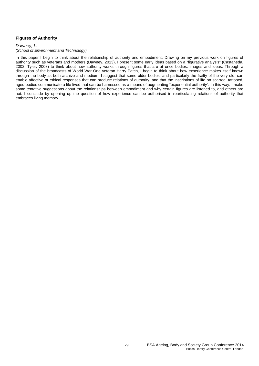### **Figures of Authority**

#### *Dawney, L. (School of Environment and Technology)*

In this paper I begin to think about the relationship of authority and embodiment. Drawing on my previous work on figures of authority such as veterans and mothers (Dawney, 2013), I present some early ideas based on a "figurative analysis" (Castaneda, 2002; Tyler, 2008) to think about how authority works through figures that are at once bodies, images and ideas. Through a discussion of the broadcasts of World War One veteran Harry Patch, I begin to think about how experience makes itself known through the body as both archive and medium. I suggest that some older bodies, and particularly the frailty of the very old, can enable affective or ethical responses that can produce relations of authority, and that the inscriptions of life on scarred, tattooed, aged bodies communicate a life lived that can be harnessed as a means of augmenting "experiential authority". In this way, I make some tentative suggestions about the relationships between embodiment and why certain figures are listened to, and others are not. I conclude by opening up the question of how experience can be authorised in rearticulating relations of authority that embraces living memory.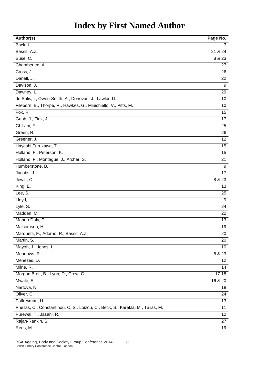# **Index by First Named Author**

| Author(s)                                                                       | Page No.         |
|---------------------------------------------------------------------------------|------------------|
| Back, L.                                                                        | 7                |
| Bassit, A.Z.                                                                    | 21 & 24          |
| Buse, C.                                                                        | 8 & 23           |
| Chamberlen, A.                                                                  | 27               |
| Cross, J.                                                                       | 26               |
| Danell, J.                                                                      | 22               |
| Davison, J.                                                                     | $\boldsymbol{9}$ |
| Dawney, L.                                                                      | 29               |
| de Salis, I., Owen-Smith, A., Donovan, J., Lawlor, D.                           | 10               |
| Fileborn, B., Thorpe, R., Hawkes, G., Minichiello, V., Pitts, M.                | 10               |
| Fox, R.                                                                         | 15               |
| Gabb, J., Fink, J.                                                              | 17               |
| Ghillani, F.                                                                    | 25               |
| Green, R.                                                                       | 26               |
| Greener, J.                                                                     | 12               |
| Hayashi Furukawa, T.                                                            | 15               |
| Holland, F., Peterson, K.                                                       | 15               |
| Holland, F., Montague, J., Archer, S.                                           | 21               |
| Humberstone, B.                                                                 | $\boldsymbol{9}$ |
| Jacobs, J.                                                                      | 17               |
| Jewitt, C.                                                                      | 8 & 23           |
| King, E.                                                                        | 13               |
| Lee, S.                                                                         | 25               |
| Lloyd, L.                                                                       | 9                |
| Lyle, S.                                                                        | 24               |
| Madden, M.                                                                      | 22               |
| Mahon-Daly, P.                                                                  | 13               |
| Malcomson, H.                                                                   | 19               |
| Marquetti, F., Adorno, R., Bassit, A.Z.                                         | 20               |
| Martin, S.                                                                      | 20               |
| Mayoh, J., Jones, I.                                                            | 10               |
| Meadows, R.                                                                     | 8 & 23           |
| Menezes, D.                                                                     | 12               |
| Milne, R.                                                                       | 14               |
| Morgan Brett, B., Lyon, D., Crow, G.                                            | $17 - 18$        |
| Mwale, S.                                                                       | 16 & 20          |
| Nartova, N.                                                                     | 18               |
| Oliver, C.                                                                      | 24               |
| Palfreyman, H.                                                                  | 13               |
| Phellas, C., Constantinou, C. S., Loizou, C., Beck, S., Karekla, M., Talias, M. | 11               |
| Purewal, T., Jasani, R.                                                         | 12               |
| Rajan-Rankin, S.                                                                | 27               |
| Rees, M.                                                                        | 19               |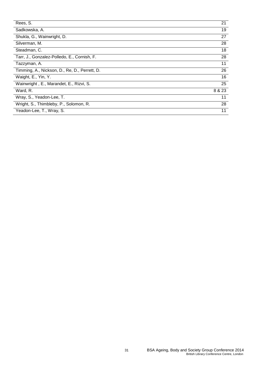| Rees, S.                                      | 21     |
|-----------------------------------------------|--------|
| Sadkowska, A.                                 | 19     |
| Shukla, G., Wainwright, D.                    | 27     |
| Silverman, M.                                 | 28     |
| Steadman, C.                                  | 18     |
| Tarr, J., Gonzalez-Polledo, E., Cornish, F.   | 28     |
| Tazzyman, A.                                  | 11     |
| Timming, A., Nickson, D., Re, D., Perrett, D. | 26     |
| Waight, E., Yin, Y.                           | 16     |
| Wainwright, E., Marandet, E., Rizvi, S.       | 25     |
| Ward, R.                                      | 8 & 23 |
| Wray, S., Yeadon-Lee, T.                      | 11     |
| Wright, S., Thimbleby, P., Solomon, R.        | 28     |
| Yeadon-Lee, T., Wray, S.                      | 11     |